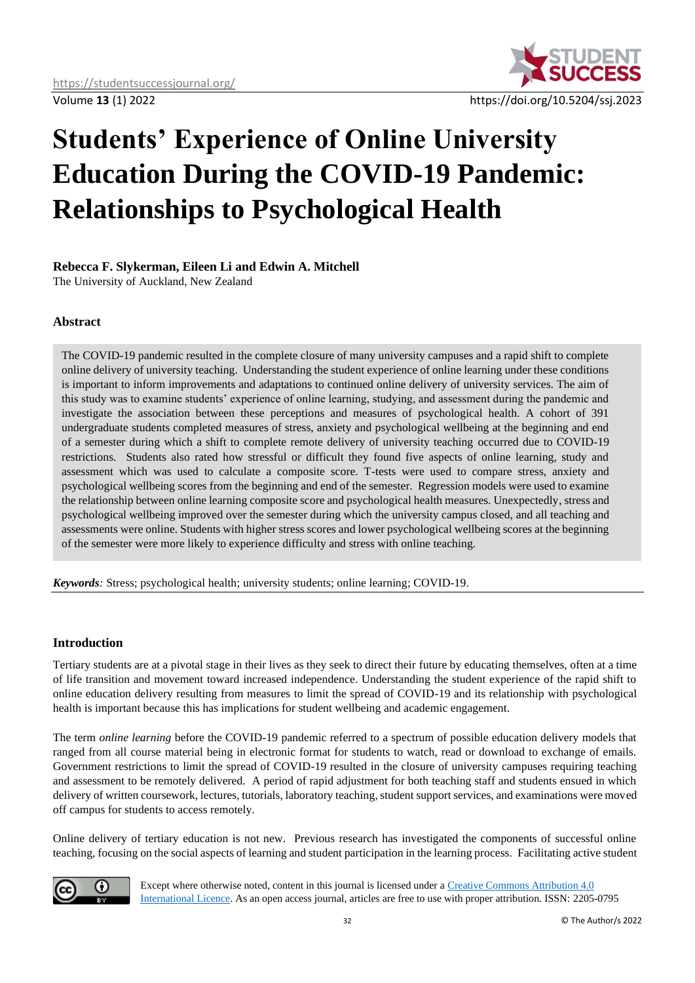

# **Students' Experience of Online University Education During the COVID-19 Pandemic: Relationships to Psychological Health**

## **Rebecca F. Slykerman, Eileen Li and Edwin A. Mitchell**

The University of Auckland, New Zealand

## **Abstract**

The COVID-19 pandemic resulted in the complete closure of many university campuses and a rapid shift to complete online delivery of university teaching. Understanding the student experience of online learning under these conditions is important to inform improvements and adaptations to continued online delivery of university services. The aim of this study was to examine students' experience of online learning, studying, and assessment during the pandemic and investigate the association between these perceptions and measures of psychological health. A cohort of 391 undergraduate students completed measures of stress, anxiety and psychological wellbeing at the beginning and end of a semester during which a shift to complete remote delivery of university teaching occurred due to COVID-19 restrictions. Students also rated how stressful or difficult they found five aspects of online learning, study and assessment which was used to calculate a composite score. T-tests were used to compare stress, anxiety and psychological wellbeing scores from the beginning and end of the semester. Regression models were used to examine the relationship between online learning composite score and psychological health measures. Unexpectedly, stress and psychological wellbeing improved over the semester during which the university campus closed, and all teaching and assessments were online. Students with higher stress scores and lower psychological wellbeing scores at the beginning of the semester were more likely to experience difficulty and stress with online teaching.

*Keywords:* Stress; psychological health; university students; online learning; COVID-19.

## **Introduction**

Tertiary students are at a pivotal stage in their lives as they seek to direct their future by educating themselves, often at a time of life transition and movement toward increased independence. Understanding the student experience of the rapid shift to online education delivery resulting from measures to limit the spread of COVID-19 and its relationship with psychological health is important because this has implications for student wellbeing and academic engagement.

The term *online learning* before the COVID-19 pandemic referred to a spectrum of possible education delivery models that ranged from all course material being in electronic format for students to watch, read or download to exchange of emails. Government restrictions to limit the spread of COVID-19 resulted in the closure of university campuses requiring teaching and assessment to be remotely delivered. A period of rapid adjustment for both teaching staff and students ensued in which delivery of written coursework, lectures, tutorials, laboratory teaching, student support services, and examinations were moved off campus for students to access remotely.

Online delivery of tertiary education is not new. Previous research has investigated the components of successful online teaching, focusing on the social aspects of learning and student participation in the learning process. Facilitating active student



Except where otherwise noted, content in this journal is licensed under [a Creative Commons Attribution 4.0](https://creativecommons.org/licenses/by/4.0/)  [International Licence.](https://creativecommons.org/licenses/by/4.0/) As an open access journal, articles are free to use with proper attribution. ISSN: 2205-0795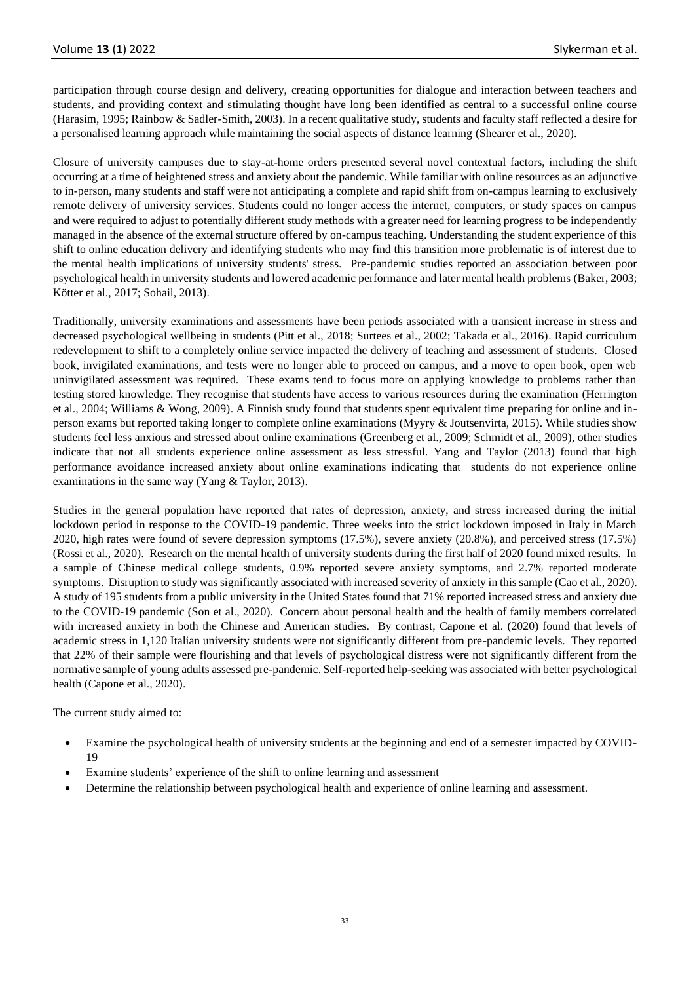participation through course design and delivery, creating opportunities for dialogue and interaction between teachers and students, and providing context and stimulating thought have long been identified as central to a successful online course (Harasim, 1995; Rainbow & Sadler-Smith, 2003). In a recent qualitative study, students and faculty staff reflected a desire for a personalised learning approach while maintaining the social aspects of distance learning (Shearer et al., 2020).

Closure of university campuses due to stay-at-home orders presented several novel contextual factors, including the shift occurring at a time of heightened stress and anxiety about the pandemic. While familiar with online resources as an adjunctive to in-person, many students and staff were not anticipating a complete and rapid shift from on-campus learning to exclusively remote delivery of university services. Students could no longer access the internet, computers, or study spaces on campus and were required to adjust to potentially different study methods with a greater need for learning progress to be independently managed in the absence of the external structure offered by on-campus teaching. Understanding the student experience of this shift to online education delivery and identifying students who may find this transition more problematic is of interest due to the mental health implications of university students' stress. Pre-pandemic studies reported an association between poor psychological health in university students and lowered academic performance and later mental health problems (Baker, 2003; Kötter et al., 2017; Sohail, 2013).

Traditionally, university examinations and assessments have been periods associated with a transient increase in stress and decreased psychological wellbeing in students (Pitt et al., 2018; Surtees et al., 2002; Takada et al., 2016). Rapid curriculum redevelopment to shift to a completely online service impacted the delivery of teaching and assessment of students. Closed book, invigilated examinations, and tests were no longer able to proceed on campus, and a move to open book, open web uninvigilated assessment was required. These exams tend to focus more on applying knowledge to problems rather than testing stored knowledge. They recognise that students have access to various resources during the examination (Herrington et al., 2004; Williams & Wong, 2009). A Finnish study found that students spent equivalent time preparing for online and inperson exams but reported taking longer to complete online examinations (Myyry & Joutsenvirta, 2015). While studies show students feel less anxious and stressed about online examinations (Greenberg et al., 2009; Schmidt et al., 2009), other studies indicate that not all students experience online assessment as less stressful. Yang and Taylor (2013) found that high performance avoidance increased anxiety about online examinations indicating that students do not experience online examinations in the same way (Yang & Taylor, 2013).

Studies in the general population have reported that rates of depression, anxiety, and stress increased during the initial lockdown period in response to the COVID-19 pandemic. Three weeks into the strict lockdown imposed in Italy in March 2020, high rates were found of severe depression symptoms (17.5%), severe anxiety (20.8%), and perceived stress (17.5%) (Rossi et al., 2020). Research on the mental health of university students during the first half of 2020 found mixed results. In a sample of Chinese medical college students, 0.9% reported severe anxiety symptoms, and 2.7% reported moderate symptoms. Disruption to study was significantly associated with increased severity of anxiety in this sample (Cao et al., 2020). A study of 195 students from a public university in the United States found that 71% reported increased stress and anxiety due to the COVID-19 pandemic (Son et al., 2020). Concern about personal health and the health of family members correlated with increased anxiety in both the Chinese and American studies. By contrast, Capone et al. (2020) found that levels of academic stress in 1,120 Italian university students were not significantly different from pre-pandemic levels. They reported that 22% of their sample were flourishing and that levels of psychological distress were not significantly different from the normative sample of young adults assessed pre-pandemic. Self-reported help-seeking was associated with better psychological health (Capone et al., 2020).

The current study aimed to:

- Examine the psychological health of university students at the beginning and end of a semester impacted by COVID-19
- Examine students' experience of the shift to online learning and assessment
- Determine the relationship between psychological health and experience of online learning and assessment.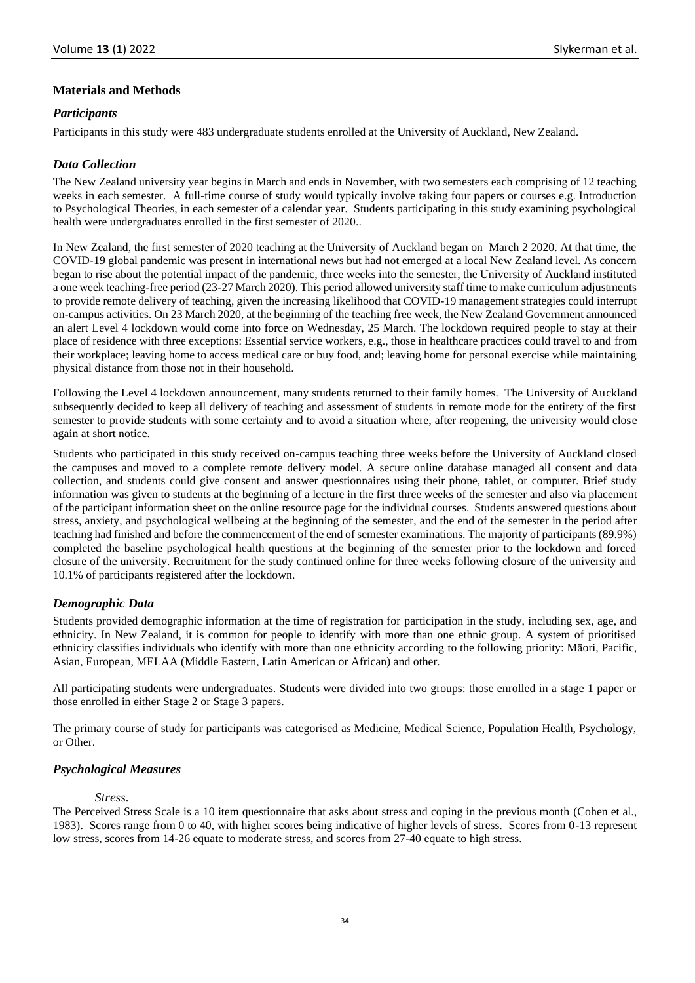## **Materials and Methods**

## *Participants*

Participants in this study were 483 undergraduate students enrolled at the University of Auckland, New Zealand.

## *Data Collection*

The New Zealand university year begins in March and ends in November, with two semesters each comprising of 12 teaching weeks in each semester. A full-time course of study would typically involve taking four papers or courses e.g. Introduction to Psychological Theories, in each semester of a calendar year. Students participating in this study examining psychological health were undergraduates enrolled in the first semester of 2020..

In New Zealand, the first semester of 2020 teaching at the University of Auckland began on March 2 2020. At that time, the COVID-19 global pandemic was present in international news but had not emerged at a local New Zealand level. As concern began to rise about the potential impact of the pandemic, three weeks into the semester, the University of Auckland instituted a one week teaching-free period (23-27 March 2020). This period allowed university staff time to make curriculum adjustments to provide remote delivery of teaching, given the increasing likelihood that COVID-19 management strategies could interrupt on-campus activities. On 23 March 2020, at the beginning of the teaching free week, the New Zealand Government announced an alert Level 4 lockdown would come into force on Wednesday, 25 March. The lockdown required people to stay at their place of residence with three exceptions: Essential service workers, e.g., those in healthcare practices could travel to and from their workplace; leaving home to access medical care or buy food, and; leaving home for personal exercise while maintaining physical distance from those not in their household.

Following the Level 4 lockdown announcement, many students returned to their family homes. The University of Auckland subsequently decided to keep all delivery of teaching and assessment of students in remote mode for the entirety of the first semester to provide students with some certainty and to avoid a situation where, after reopening, the university would close again at short notice.

Students who participated in this study received on-campus teaching three weeks before the University of Auckland closed the campuses and moved to a complete remote delivery model. A secure online database managed all consent and data collection, and students could give consent and answer questionnaires using their phone, tablet, or computer. Brief study information was given to students at the beginning of a lecture in the first three weeks of the semester and also via placement of the participant information sheet on the online resource page for the individual courses. Students answered questions about stress, anxiety, and psychological wellbeing at the beginning of the semester, and the end of the semester in the period after teaching had finished and before the commencement of the end of semester examinations. The majority of participants (89.9%) completed the baseline psychological health questions at the beginning of the semester prior to the lockdown and forced closure of the university. Recruitment for the study continued online for three weeks following closure of the university and 10.1% of participants registered after the lockdown.

## *Demographic Data*

Students provided demographic information at the time of registration for participation in the study, including sex, age, and ethnicity. In New Zealand, it is common for people to identify with more than one ethnic group. A system of prioritised ethnicity classifies individuals who identify with more than one ethnicity according to the following priority: Māori, Pacific, Asian, European, MELAA (Middle Eastern, Latin American or African) and other.

All participating students were undergraduates. Students were divided into two groups: those enrolled in a stage 1 paper or those enrolled in either Stage 2 or Stage 3 papers.

The primary course of study for participants was categorised as Medicine, Medical Science, Population Health, Psychology, or Other.

## *Psychological Measures*

#### *Stress.*

The Perceived Stress Scale is a 10 item questionnaire that asks about stress and coping in the previous month (Cohen et al., 1983). Scores range from 0 to 40, with higher scores being indicative of higher levels of stress. Scores from 0-13 represent low stress, scores from 14-26 equate to moderate stress, and scores from 27-40 equate to high stress.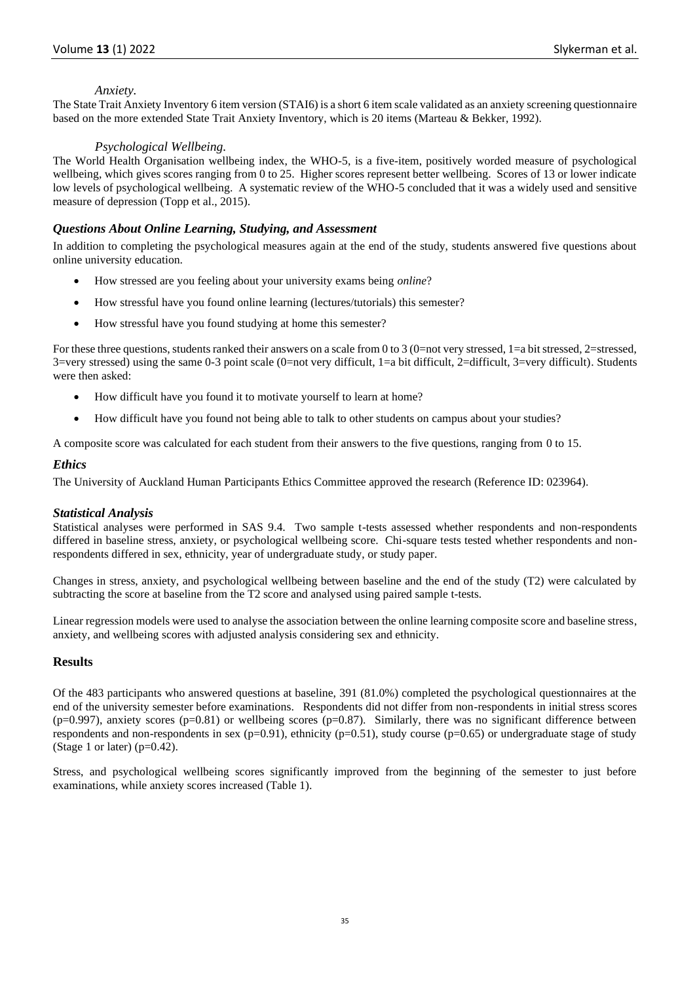#### *Anxiety.*

The State Trait Anxiety Inventory 6 item version (STAI6) is a short 6 item scale validated as an anxiety screening questionnaire based on the more extended State Trait Anxiety Inventory, which is 20 items (Marteau & Bekker, 1992).

#### *Psychological Wellbeing.*

The World Health Organisation wellbeing index, the WHO-5, is a five-item, positively worded measure of psychological wellbeing, which gives scores ranging from 0 to 25. Higher scores represent better wellbeing. Scores of 13 or lower indicate low levels of psychological wellbeing. A systematic review of the WHO-5 concluded that it was a widely used and sensitive measure of depression (Topp et al., 2015).

## *Questions About Online Learning, Studying, and Assessment*

In addition to completing the psychological measures again at the end of the study, students answered five questions about online university education.

- How stressed are you feeling about your university exams being *online*?
- How stressful have you found online learning (lectures/tutorials) this semester?
- How stressful have you found studying at home this semester?

For these three questions, students ranked their answers on a scale from 0 to 3 (0=not very stressed, 1=a bit stressed, 2=stressed, 3=very stressed) using the same 0-3 point scale (0=not very difficult, 1=a bit difficult, 2=difficult, 3=very difficult). Students were then asked:

- How difficult have you found it to motivate yourself to learn at home?
- How difficult have you found not being able to talk to other students on campus about your studies?

A composite score was calculated for each student from their answers to the five questions, ranging from 0 to 15.

#### *Ethics*

The University of Auckland Human Participants Ethics Committee approved the research (Reference ID: 023964).

## *Statistical Analysis*

Statistical analyses were performed in SAS 9.4. Two sample t-tests assessed whether respondents and non-respondents differed in baseline stress, anxiety, or psychological wellbeing score. Chi-square tests tested whether respondents and nonrespondents differed in sex, ethnicity, year of undergraduate study, or study paper.

Changes in stress, anxiety, and psychological wellbeing between baseline and the end of the study (T2) were calculated by subtracting the score at baseline from the T2 score and analysed using paired sample t-tests.

Linear regression models were used to analyse the association between the online learning composite score and baseline stress, anxiety, and wellbeing scores with adjusted analysis considering sex and ethnicity.

## **Results**

Of the 483 participants who answered questions at baseline, 391 (81.0%) completed the psychological questionnaires at the end of the university semester before examinations. Respondents did not differ from non-respondents in initial stress scores  $(p=0.997)$ , anxiety scores  $(p=0.81)$  or wellbeing scores  $(p=0.87)$ . Similarly, there was no significant difference between respondents and non-respondents in sex ( $p=0.91$ ), ethnicity ( $p=0.51$ ), study course ( $p=0.65$ ) or undergraduate stage of study (Stage 1 or later) ( $p=0.42$ ).

Stress, and psychological wellbeing scores significantly improved from the beginning of the semester to just before examinations, while anxiety scores increased (Table 1).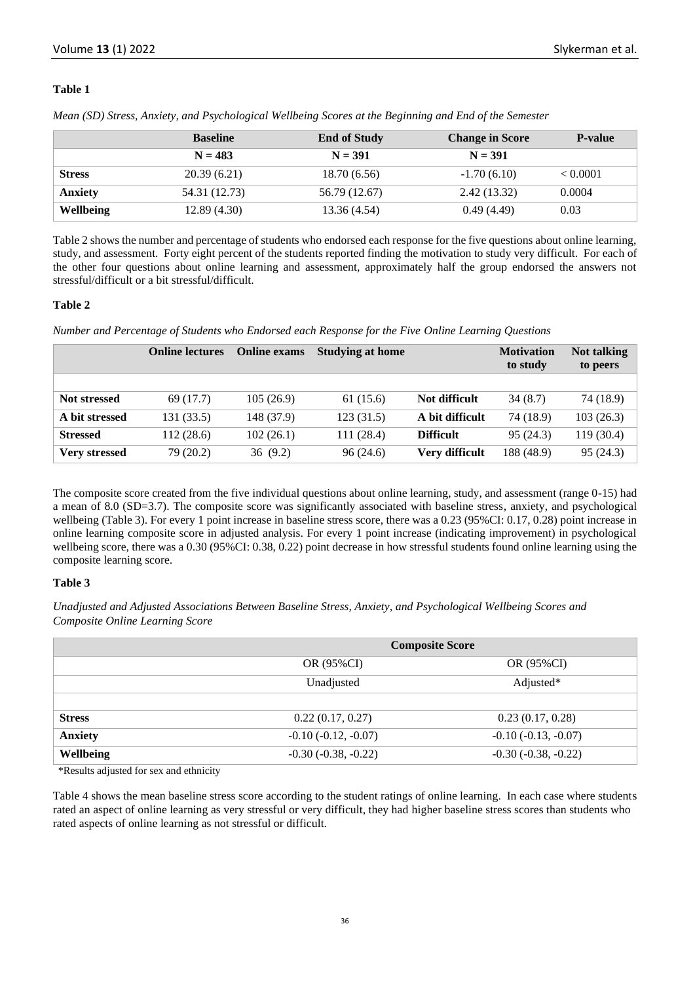## **Table 1**

|                  | <b>Baseline</b> | <b>End of Study</b> | <b>Change in Score</b> | <b>P-value</b> |  |
|------------------|-----------------|---------------------|------------------------|----------------|--|
|                  | $N = 483$       | $N = 391$           | $N = 391$              |                |  |
| <b>Stress</b>    | 20.39(6.21)     | 18.70(6.56)         | $-1.70(6.10)$          | ${}< 0.0001$   |  |
| <b>Anxiety</b>   | 54.31 (12.73)   | 56.79 (12.67)       | 2.42(13.32)            | 0.0004         |  |
| <b>Wellbeing</b> | 12.89(4.30)     | 13.36 (4.54)        | 0.49(4.49)             | 0.03           |  |

*Mean (SD) Stress, Anxiety, and Psychological Wellbeing Scores at the Beginning and End of the Semester*

Table 2 shows the number and percentage of students who endorsed each response for the five questions about online learning, study, and assessment. Forty eight percent of the students reported finding the motivation to study very difficult. For each of the other four questions about online learning and assessment, approximately half the group endorsed the answers not stressful/difficult or a bit stressful/difficult.

#### **Table 2**

*Number and Percentage of Students who Endorsed each Response for the Five Online Learning Questions*

|                      | <b>Online lectures</b> | <b>Online exams</b> | <b>Studying at home</b> |                  | <b>Motivation</b><br>to study | Not talking<br>to peers |
|----------------------|------------------------|---------------------|-------------------------|------------------|-------------------------------|-------------------------|
|                      |                        |                     |                         |                  |                               |                         |
| <b>Not stressed</b>  | 69 (17.7)              | 105(26.9)           | 61 (15.6)               | Not difficult    | 34(8.7)                       | 74 (18.9)               |
| A bit stressed       | 131 (33.5)             | 148 (37.9)          | 123(31.5)               | A bit difficult  | 74 (18.9)                     | 103(26.3)               |
| <b>Stressed</b>      | 112 (28.6)             | 102(26.1)           | 111(28.4)               | <b>Difficult</b> | 95 (24.3)                     | 119(30.4)               |
| <b>Very stressed</b> | 79 (20.2)              | 36(9.2)             | 96(24.6)                | Very difficult   | 188 (48.9)                    | 95(24.3)                |

The composite score created from the five individual questions about online learning, study, and assessment (range 0-15) had a mean of 8.0 (SD=3.7). The composite score was significantly associated with baseline stress, anxiety, and psychological wellbeing (Table 3). For every 1 point increase in baseline stress score, there was a 0.23 (95%CI: 0.17, 0.28) point increase in online learning composite score in adjusted analysis. For every 1 point increase (indicating improvement) in psychological wellbeing score, there was a 0.30 (95%CI: 0.38, 0.22) point decrease in how stressful students found online learning using the composite learning score.

## **Table 3**

*Unadjusted and Adjusted Associations Between Baseline Stress, Anxiety, and Psychological Wellbeing Scores and Composite Online Learning Score*

|                | <b>Composite Score</b>   |                       |  |  |  |
|----------------|--------------------------|-----------------------|--|--|--|
|                | OR (95%CI)<br>OR (95%CI) |                       |  |  |  |
|                | Adjusted*<br>Unadjusted  |                       |  |  |  |
|                |                          |                       |  |  |  |
| <b>Stress</b>  | 0.22(0.17, 0.27)         | 0.23(0.17, 0.28)      |  |  |  |
| <b>Anxiety</b> | $-0.10(-0.12, -0.07)$    | $-0.10(-0.13, -0.07)$ |  |  |  |
| Wellbeing      | $-0.30(-0.38, -0.22)$    | $-0.30(-0.38, -0.22)$ |  |  |  |

\*Results adjusted for sex and ethnicity

Table 4 shows the mean baseline stress score according to the student ratings of online learning. In each case where students rated an aspect of online learning as very stressful or very difficult, they had higher baseline stress scores than students who rated aspects of online learning as not stressful or difficult.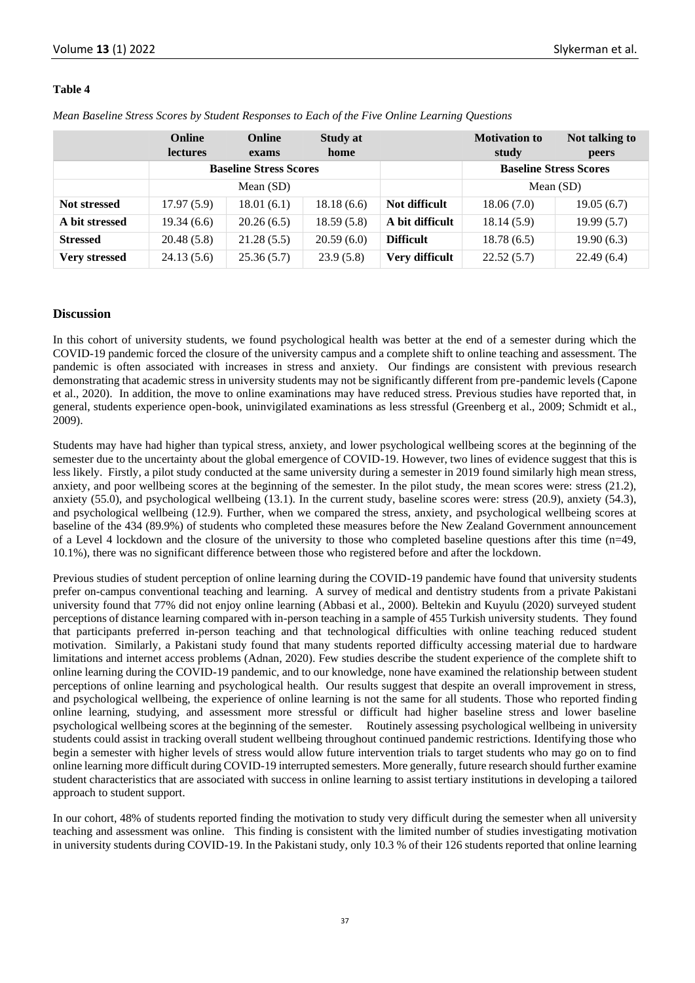#### **Table 4**

|  |  | Mean Baseline Stress Scores by Student Responses to Each of the Five Online Learning Questions |  |  |  |
|--|--|------------------------------------------------------------------------------------------------|--|--|--|
|  |  |                                                                                                |  |  |  |

|                      | Online<br><b>lectures</b> | <b>Online</b><br>exams        | <b>Study at</b><br>home |                  | <b>Motivation to</b><br>study | Not talking to<br>peers |  |
|----------------------|---------------------------|-------------------------------|-------------------------|------------------|-------------------------------|-------------------------|--|
|                      |                           | <b>Baseline Stress Scores</b> |                         |                  | <b>Baseline Stress Scores</b> |                         |  |
|                      | Mean (SD)                 |                               |                         |                  | Mean $(SD)$                   |                         |  |
| <b>Not stressed</b>  | 17.97(5.9)                | 18.01(6.1)                    | 18.18(6.6)              | Not difficult    | 18.06(7.0)                    | 19.05(6.7)              |  |
| A bit stressed       | 19.34(6.6)                | 20.26(6.5)                    | 18.59(5.8)              | A bit difficult  | 18.14(5.9)                    | 19.99(5.7)              |  |
| <b>Stressed</b>      | 20.48(5.8)                | 21.28(5.5)                    | 20.59(6.0)              | <b>Difficult</b> | 18.78(6.5)                    | 19.90(6.3)              |  |
| <b>Very stressed</b> | 24.13(5.6)                | 25.36(5.7)                    | 23.9(5.8)               | Very difficult   | 22.52(5.7)                    | 22.49(6.4)              |  |

#### **Discussion**

In this cohort of university students, we found psychological health was better at the end of a semester during which the COVID-19 pandemic forced the closure of the university campus and a complete shift to online teaching and assessment. The pandemic is often associated with increases in stress and anxiety. Our findings are consistent with previous research demonstrating that academic stress in university students may not be significantly different from pre-pandemic levels (Capone et al., 2020). In addition, the move to online examinations may have reduced stress. Previous studies have reported that, in general, students experience open-book, uninvigilated examinations as less stressful (Greenberg et al., 2009; Schmidt et al., 2009).

Students may have had higher than typical stress, anxiety, and lower psychological wellbeing scores at the beginning of the semester due to the uncertainty about the global emergence of COVID-19. However, two lines of evidence suggest that this is less likely. Firstly, a pilot study conducted at the same university during a semester in 2019 found similarly high mean stress, anxiety, and poor wellbeing scores at the beginning of the semester. In the pilot study, the mean scores were: stress (21.2), anxiety (55.0), and psychological wellbeing (13.1). In the current study, baseline scores were: stress (20.9), anxiety (54.3), and psychological wellbeing (12.9). Further, when we compared the stress, anxiety, and psychological wellbeing scores at baseline of the 434 (89.9%) of students who completed these measures before the New Zealand Government announcement of a Level 4 lockdown and the closure of the university to those who completed baseline questions after this time (n=49, 10.1%), there was no significant difference between those who registered before and after the lockdown.

Previous studies of student perception of online learning during the COVID-19 pandemic have found that university students prefer on-campus conventional teaching and learning. A survey of medical and dentistry students from a private Pakistani university found that 77% did not enjoy online learning (Abbasi et al., 2000). Beltekin and Kuyulu (2020) surveyed student perceptions of distance learning compared with in-person teaching in a sample of 455 Turkish university students. They found that participants preferred in-person teaching and that technological difficulties with online teaching reduced student motivation. Similarly, a Pakistani study found that many students reported difficulty accessing material due to hardware limitations and internet access problems (Adnan, 2020). Few studies describe the student experience of the complete shift to online learning during the COVID-19 pandemic, and to our knowledge, none have examined the relationship between student perceptions of online learning and psychological health. Our results suggest that despite an overall improvement in stress, and psychological wellbeing, the experience of online learning is not the same for all students. Those who reported finding online learning, studying, and assessment more stressful or difficult had higher baseline stress and lower baseline psychological wellbeing scores at the beginning of the semester. Routinely assessing psychological wellbeing in university students could assist in tracking overall student wellbeing throughout continued pandemic restrictions. Identifying those who begin a semester with higher levels of stress would allow future intervention trials to target students who may go on to find online learning more difficult during COVID-19 interrupted semesters. More generally, future research should further examine student characteristics that are associated with success in online learning to assist tertiary institutions in developing a tailored approach to student support.

In our cohort, 48% of students reported finding the motivation to study very difficult during the semester when all university teaching and assessment was online. This finding is consistent with the limited number of studies investigating motivation in university students during COVID-19. In the Pakistani study, only 10.3 % of their 126 students reported that online learning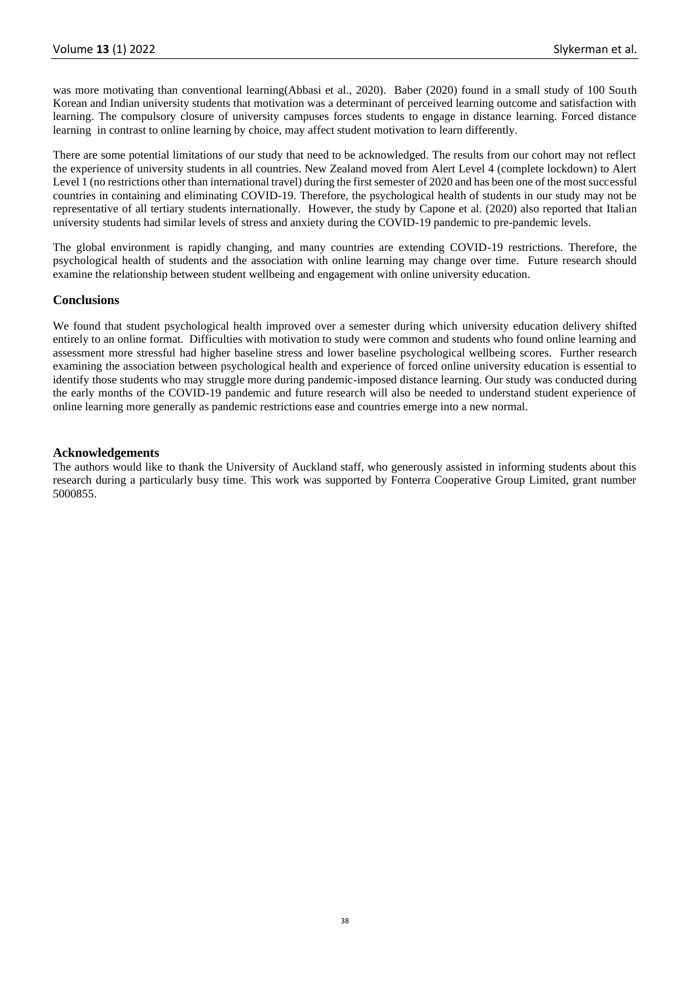was more motivating than conventional learning(Abbasi et al., 2020). Baber (2020) found in a small study of 100 South Korean and Indian university students that motivation was a determinant of perceived learning outcome and satisfaction with learning. The compulsory closure of university campuses forces students to engage in distance learning. Forced distance learning in contrast to online learning by choice, may affect student motivation to learn differently.

There are some potential limitations of our study that need to be acknowledged. The results from our cohort may not reflect the experience of university students in all countries. New Zealand moved from Alert Level 4 (complete lockdown) to Alert Level 1 (no restrictions other than international travel) during the first semester of 2020 and has been one of the most successful countries in containing and eliminating COVID-19. Therefore, the psychological health of students in our study may not be representative of all tertiary students internationally. However, the study by Capone et al. (2020) also reported that Italian university students had similar levels of stress and anxiety during the COVID-19 pandemic to pre-pandemic levels.

The global environment is rapidly changing, and many countries are extending COVID-19 restrictions. Therefore, the psychological health of students and the association with online learning may change over time. Future research should examine the relationship between student wellbeing and engagement with online university education.

#### **Conclusions**

We found that student psychological health improved over a semester during which university education delivery shifted entirely to an online format. Difficulties with motivation to study were common and students who found online learning and assessment more stressful had higher baseline stress and lower baseline psychological wellbeing scores. Further research examining the association between psychological health and experience of forced online university education is essential to identify those students who may struggle more during pandemic-imposed distance learning. Our study was conducted during the early months of the COVID-19 pandemic and future research will also be needed to understand student experience of online learning more generally as pandemic restrictions ease and countries emerge into a new normal.

#### **Acknowledgements**

The authors would like to thank the University of Auckland staff, who generously assisted in informing students about this research during a particularly busy time. This work was supported by Fonterra Cooperative Group Limited, grant number 5000855.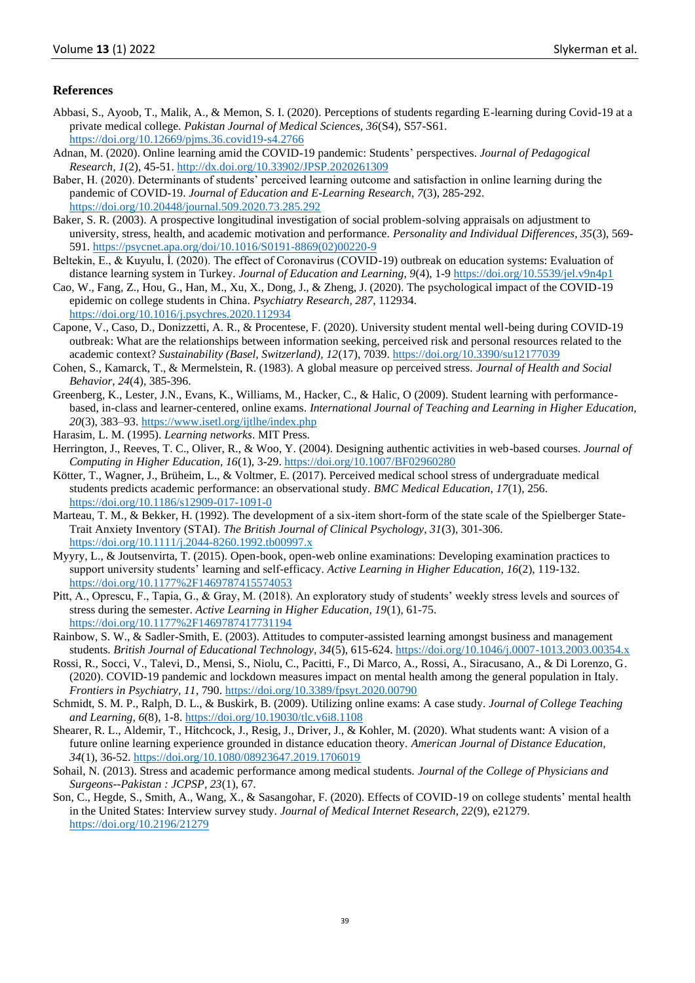## **References**

- Abbasi, S., Ayoob, T., Malik, A., & Memon, S. I. (2020). Perceptions of students regarding E-learning during Covid-19 at a private medical college. *Pakistan Journal of Medical Sciences, 36*(S4), S57-S61. <https://doi.org/10.12669/pjms.36.covid19-s4.2766>
- Adnan, M. (2020). Online learning amid the COVID-19 pandemic: Students' perspectives. *Journal of Pedagogical Research, 1*(2), 45-51.<http://dx.doi.org/10.33902/JPSP.2020261309>
- Baber, H. (2020). Determinants of students' perceived learning outcome and satisfaction in online learning during the pandemic of COVID-19. *Journal of Education and E-Learning Research, 7*(3), 285-292. <https://doi.org/10.20448/journal.509.2020.73.285.292>
- Baker, S. R. (2003). A prospective longitudinal investigation of social problem-solving appraisals on adjustment to university, stress, health, and academic motivation and performance. *Personality and Individual Differences, 35*(3), 569- 591[. https://psycnet.apa.org/doi/10.1016/S0191-8869\(02\)00220-9](https://psycnet.apa.org/doi/10.1016/S0191-8869(02)00220-9)
- Beltekin, E., & Kuyulu, İ. (2020). The effect of Coronavirus (COVID-19) outbreak on education systems: Evaluation of distance learning system in Turkey. *Journal of Education and Learning, 9*(4), 1-[9 https://doi.org/10.5539/jel.v9n4p1](https://doi.org/10.5539/jel.v9n4p1)
- Cao, W., Fang, Z., Hou, G., Han, M., Xu, X., Dong, J., & Zheng, J. (2020). The psychological impact of the COVID-19 epidemic on college students in China. *Psychiatry Research, 287*, 112934. <https://doi.org/10.1016/j.psychres.2020.112934>
- Capone, V., Caso, D., Donizzetti, A. R., & Procentese, F. (2020). University student mental well-being during COVID-19 outbreak: What are the relationships between information seeking, perceived risk and personal resources related to the academic context? *Sustainability (Basel, Switzerland), 12*(17), 7039[. https://doi.org/10.3390/su12177039](https://doi.org/10.3390/su12177039)
- Cohen, S., Kamarck, T., & Mermelstein, R. (1983). A global measure op perceived stress. *Journal of Health and Social Behavior, 24*(4), 385-396.
- Greenberg, K., Lester, J.N., Evans, K., Williams, M., Hacker, C., & Halic, O (2009). Student learning with performancebased, in-class and learner-centered, online exams. *International Journal of Teaching and Learning in Higher Education, 20*(3), 383–93.<https://www.isetl.org/ijtlhe/index.php>
- Harasim, L. M. (1995). *Learning networks*. MIT Press.
- Herrington, J., Reeves, T. C., Oliver, R., & Woo, Y. (2004). Designing authentic activities in web-based courses. *Journal of Computing in Higher Education, 16*(1), 3-29[. https://doi.org/10.1007/BF02960280](https://doi.org/10.1007/BF02960280)
- Kötter, T., Wagner, J., Brüheim, L., & Voltmer, E. (2017). Perceived medical school stress of undergraduate medical students predicts academic performance: an observational study. *BMC Medical Education, 17*(1), 256. <https://doi.org/10.1186/s12909-017-1091-0>
- Marteau, T. M., & Bekker, H. (1992). The development of a six-item short-form of the state scale of the Spielberger State-Trait Anxiety Inventory (STAI). *The British Journal of Clinical Psychology, 31*(3), 301-306. <https://doi.org/10.1111/j.2044-8260.1992.tb00997.x>
- Myyry, L., & Joutsenvirta, T. (2015). Open-book, open-web online examinations: Developing examination practices to support university students' learning and self-efficacy. *Active Learning in Higher Education, 16*(2), 119-132. <https://doi.org/10.1177%2F1469787415574053>
- Pitt, A., Oprescu, F., Tapia, G., & Gray, M. (2018). An exploratory study of students' weekly stress levels and sources of stress during the semester. *Active Learning in Higher Education, 19*(1), 61-75. <https://doi.org/10.1177%2F1469787417731194>
- Rainbow, S. W., & Sadler-Smith, E. (2003). Attitudes to computer-assisted learning amongst business and management students. *British Journal of Educational Technology, 34*(5), 615-624.<https://doi.org/10.1046/j.0007-1013.2003.00354.x>
- Rossi, R., Socci, V., Talevi, D., Mensi, S., Niolu, C., Pacitti, F., Di Marco, A., Rossi, A., Siracusano, A., & Di Lorenzo, G. (2020). COVID-19 pandemic and lockdown measures impact on mental health among the general population in Italy. *Frontiers in Psychiatry, 11*, 790.<https://doi.org/10.3389/fpsyt.2020.00790>
- Schmidt, S. M. P., Ralph, D. L., & Buskirk, B. (2009). Utilizing online exams: A case study. *Journal of College Teaching and Learning, 6*(8), 1-8[. https://doi.org/10.19030/tlc.v6i8.1108](https://doi.org/10.19030/tlc.v6i8.1108)
- Shearer, R. L., Aldemir, T., Hitchcock, J., Resig, J., Driver, J., & Kohler, M. (2020). What students want: A vision of a future online learning experience grounded in distance education theory. *American Journal of Distance Education, 34*(1), 36-52[. https://doi.org/10.1080/08923647.2019.1706019](https://doi.org/10.1080/08923647.2019.1706019)
- Sohail, N. (2013). Stress and academic performance among medical students. *Journal of the College of Physicians and Surgeons--Pakistan : JCPSP, 23*(1), 67.
- Son, C., Hegde, S., Smith, A., Wang, X., & Sasangohar, F. (2020). Effects of COVID-19 on college students' mental health in the United States: Interview survey study. *Journal of Medical Internet Research, 22*(9), e21279. <https://doi.org/10.2196/21279>